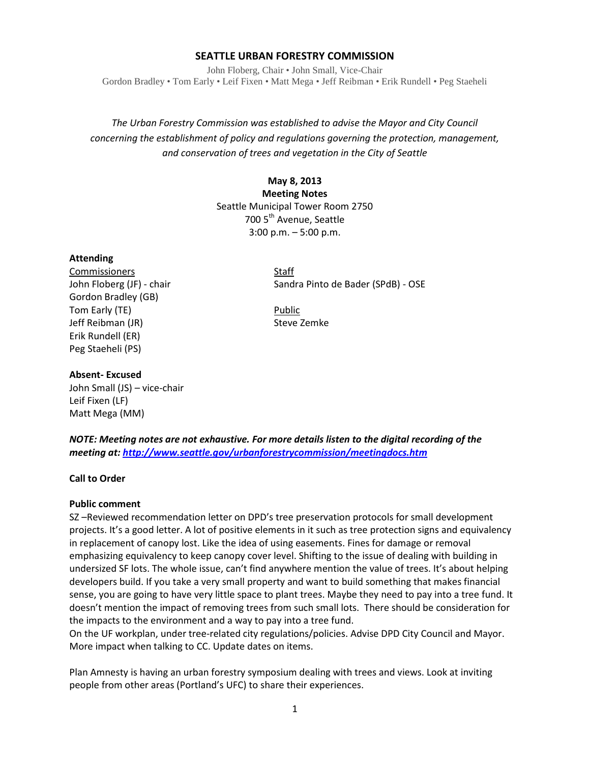## **SEATTLE URBAN FORESTRY COMMISSION**

John Floberg, Chair • John Small, Vice-Chair Gordon Bradley • Tom Early • Leif Fixen • Matt Mega • Jeff Reibman • Erik Rundell • Peg Staeheli

*The Urban Forestry Commission was established to advise the Mayor and City Council concerning the establishment of policy and regulations governing the protection, management, and conservation of trees and vegetation in the City of Seattle*

# **May 8, 2013 Meeting Notes** Seattle Municipal Tower Room 2750 700 5<sup>th</sup> Avenue, Seattle 3:00 p.m. – 5:00 p.m.

## **Attending**

Commissioners Staff Gordon Bradley (GB) Tom Early (TE) **Public** Jeff Reibman (JR) Steve Zemke Erik Rundell (ER) Peg Staeheli (PS)

John Floberg (JF) - chair Sandra Pinto de Bader (SPdB) - OSE

#### **Absent- Excused**

John Small (JS) – vice-chair Leif Fixen (LF) Matt Mega (MM)

*NOTE: Meeting notes are not exhaustive. For more details listen to the digital recording of the meeting at[: http://www.seattle.gov/urbanforestrycommission/meetingdocs.htm](http://www.seattle.gov/urbanforestrycommission/meetingdocs.htm)*

#### **Call to Order**

#### **Public comment**

SZ –Reviewed recommendation letter on DPD's tree preservation protocols for small development projects. It's a good letter. A lot of positive elements in it such as tree protection signs and equivalency in replacement of canopy lost. Like the idea of using easements. Fines for damage or removal emphasizing equivalency to keep canopy cover level. Shifting to the issue of dealing with building in undersized SF lots. The whole issue, can't find anywhere mention the value of trees. It's about helping developers build. If you take a very small property and want to build something that makes financial sense, you are going to have very little space to plant trees. Maybe they need to pay into a tree fund. It doesn't mention the impact of removing trees from such small lots. There should be consideration for the impacts to the environment and a way to pay into a tree fund.

On the UF workplan, under tree-related city regulations/policies. Advise DPD City Council and Mayor. More impact when talking to CC. Update dates on items.

Plan Amnesty is having an urban forestry symposium dealing with trees and views. Look at inviting people from other areas (Portland's UFC) to share their experiences.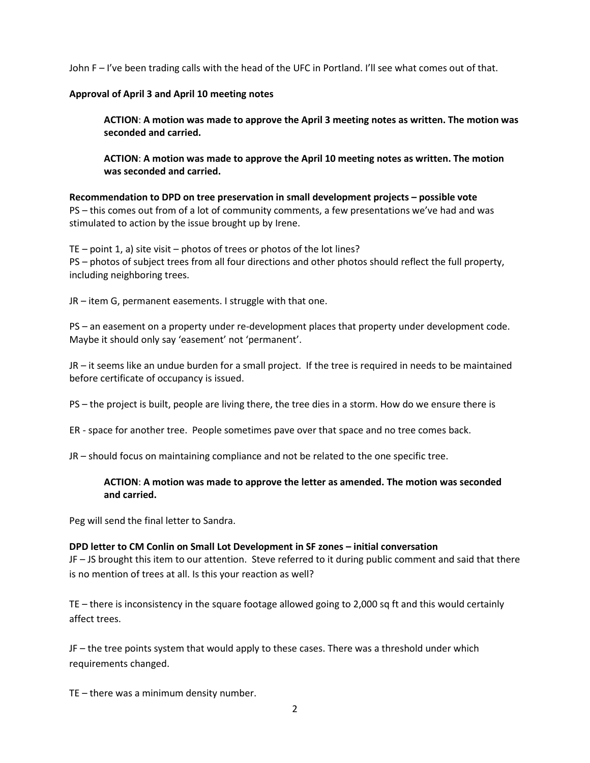John F – I've been trading calls with the head of the UFC in Portland. I'll see what comes out of that.

## **Approval of April 3 and April 10 meeting notes**

**ACTION**: **A motion was made to approve the April 3 meeting notes as written. The motion was seconded and carried.** 

**ACTION**: **A motion was made to approve the April 10 meeting notes as written. The motion was seconded and carried.** 

**Recommendation to DPD on tree preservation in small development projects – possible vote** PS – this comes out from of a lot of community comments, a few presentations we've had and was stimulated to action by the issue brought up by Irene.

TE – point 1, a) site visit – photos of trees or photos of the lot lines? PS – photos of subject trees from all four directions and other photos should reflect the full property, including neighboring trees.

JR – item G, permanent easements. I struggle with that one.

PS – an easement on a property under re-development places that property under development code. Maybe it should only say 'easement' not 'permanent'.

JR – it seems like an undue burden for a small project. If the tree is required in needs to be maintained before certificate of occupancy is issued.

PS – the project is built, people are living there, the tree dies in a storm. How do we ensure there is

ER - space for another tree. People sometimes pave over that space and no tree comes back.

JR – should focus on maintaining compliance and not be related to the one specific tree.

## **ACTION**: **A motion was made to approve the letter as amended. The motion was seconded and carried.**

Peg will send the final letter to Sandra.

## **DPD letter to CM Conlin on Small Lot Development in SF zones – initial conversation**

JF – JS brought this item to our attention. Steve referred to it during public comment and said that there is no mention of trees at all. Is this your reaction as well?

TE – there is inconsistency in the square footage allowed going to 2,000 sq ft and this would certainly affect trees.

JF – the tree points system that would apply to these cases. There was a threshold under which requirements changed.

TE – there was a minimum density number.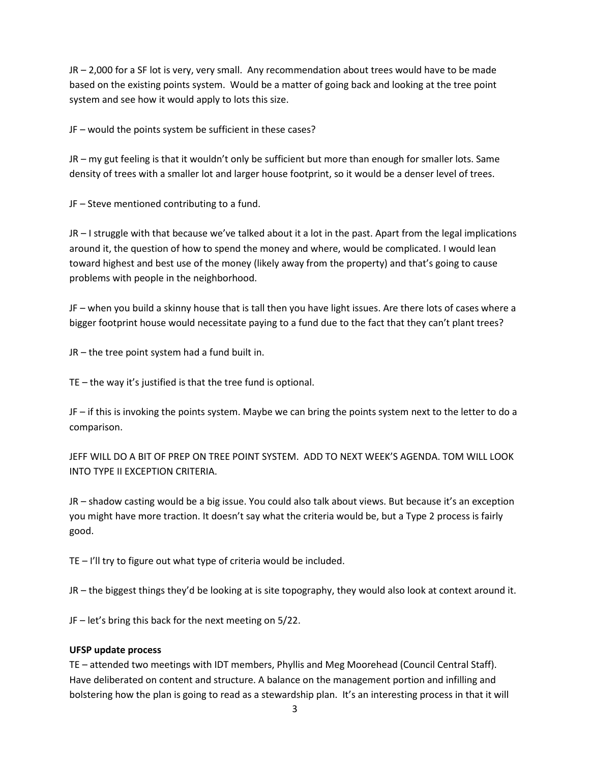JR – 2,000 for a SF lot is very, very small. Any recommendation about trees would have to be made based on the existing points system. Would be a matter of going back and looking at the tree point system and see how it would apply to lots this size.

JF – would the points system be sufficient in these cases?

JR – my gut feeling is that it wouldn't only be sufficient but more than enough for smaller lots. Same density of trees with a smaller lot and larger house footprint, so it would be a denser level of trees.

JF – Steve mentioned contributing to a fund.

JR – I struggle with that because we've talked about it a lot in the past. Apart from the legal implications around it, the question of how to spend the money and where, would be complicated. I would lean toward highest and best use of the money (likely away from the property) and that's going to cause problems with people in the neighborhood.

JF – when you build a skinny house that is tall then you have light issues. Are there lots of cases where a bigger footprint house would necessitate paying to a fund due to the fact that they can't plant trees?

JR – the tree point system had a fund built in.

TE – the way it's justified is that the tree fund is optional.

JF – if this is invoking the points system. Maybe we can bring the points system next to the letter to do a comparison.

JEFF WILL DO A BIT OF PREP ON TREE POINT SYSTEM. ADD TO NEXT WEEK'S AGENDA. TOM WILL LOOK INTO TYPE II EXCEPTION CRITERIA.

JR – shadow casting would be a big issue. You could also talk about views. But because it's an exception you might have more traction. It doesn't say what the criteria would be, but a Type 2 process is fairly good.

TE – I'll try to figure out what type of criteria would be included.

JR – the biggest things they'd be looking at is site topography, they would also look at context around it.

JF – let's bring this back for the next meeting on 5/22.

## **UFSP update process**

TE – attended two meetings with IDT members, Phyllis and Meg Moorehead (Council Central Staff). Have deliberated on content and structure. A balance on the management portion and infilling and bolstering how the plan is going to read as a stewardship plan. It's an interesting process in that it will